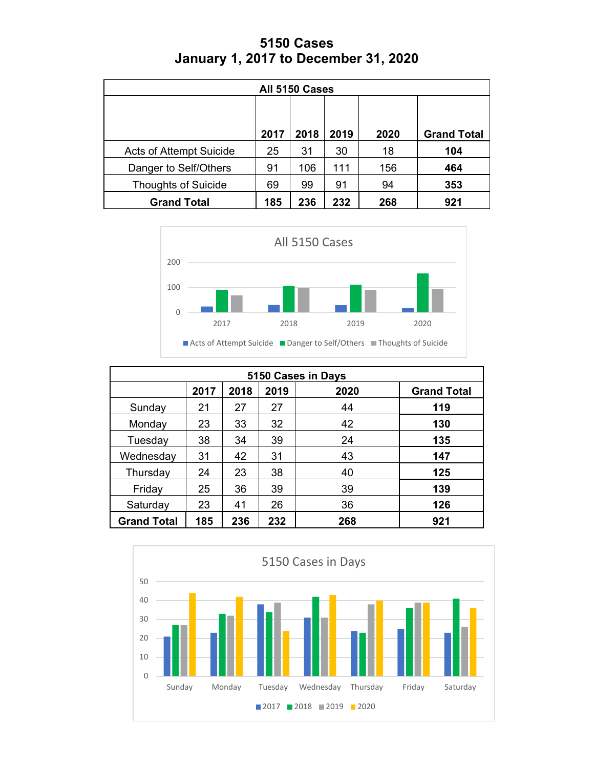| <b>5150 Cases</b>                           |  |
|---------------------------------------------|--|
| <b>January 1, 2017 to December 31, 2020</b> |  |

| All 5150 Cases                                        |      |      |      |      |                    |  |
|-------------------------------------------------------|------|------|------|------|--------------------|--|
|                                                       |      |      |      |      |                    |  |
|                                                       | 2017 | 2018 | 2019 | 2020 | <b>Grand Total</b> |  |
| <b>Acts of Attempt Suicide</b>                        | 25   | 31   | 30   | 18   | 104                |  |
| Danger to Self/Others                                 | 91   | 106  | 111  | 156  | 464                |  |
| <b>Thoughts of Suicide</b>                            | 69   | 99   | 91   | 94   | 353                |  |
| 232<br>185<br>268<br><b>Grand Total</b><br>236<br>921 |      |      |      |      |                    |  |



| 5150 Cases in Days |      |      |      |      |                    |  |  |
|--------------------|------|------|------|------|--------------------|--|--|
|                    | 2017 | 2018 | 2019 | 2020 | <b>Grand Total</b> |  |  |
| Sunday             | 21   | 27   | 27   | 44   | 119                |  |  |
| Monday             | 23   | 33   | 32   | 42   | 130                |  |  |
| Tuesday            | 38   | 34   | 39   | 24   | 135                |  |  |
| Wednesday          | 31   | 42   | 31   | 43   | 147                |  |  |
| Thursday           | 24   | 23   | 38   | 40   | 125                |  |  |
| Friday             | 25   | 36   | 39   | 39   | 139                |  |  |
| Saturday           | 23   | 41   | 26   | 36   | 126                |  |  |
| <b>Grand Total</b> | 185  | 236  | 232  | 268  | 921                |  |  |

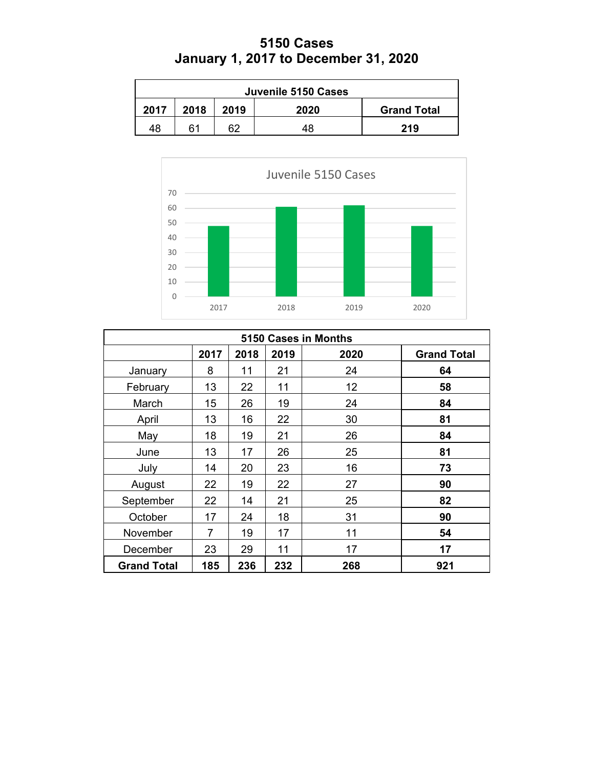## **5150 Cases January 1, 2017 to December 31, 2020**

| Juvenile 5150 Cases                                |     |    |    |     |  |  |  |
|----------------------------------------------------|-----|----|----|-----|--|--|--|
| 2018<br>2017<br>2019<br>2020<br><b>Grand Total</b> |     |    |    |     |  |  |  |
| 48                                                 | ิ 1 | 62 | 48 | 219 |  |  |  |



| 5150 Cases in Months |      |      |      |      |                    |  |
|----------------------|------|------|------|------|--------------------|--|
|                      | 2017 | 2018 | 2019 | 2020 | <b>Grand Total</b> |  |
| January              | 8    | 11   | 21   | 24   | 64                 |  |
| February             | 13   | 22   | 11   | 12   | 58                 |  |
| March                | 15   | 26   | 19   | 24   | 84                 |  |
| April                | 13   | 16   | 22   | 30   | 81                 |  |
| May                  | 18   | 19   | 21   | 26   | 84                 |  |
| June                 | 13   | 17   | 26   | 25   | 81                 |  |
| July                 | 14   | 20   | 23   | 16   | 73                 |  |
| August               | 22   | 19   | 22   | 27   | 90                 |  |
| September            | 22   | 14   | 21   | 25   | 82                 |  |
| October              | 17   | 24   | 18   | 31   | 90                 |  |
| November             | 7    | 19   | 17   | 11   | 54                 |  |
| December             | 23   | 29   | 11   | 17   | 17                 |  |
| <b>Grand Total</b>   | 185  | 236  | 232  | 268  | 921                |  |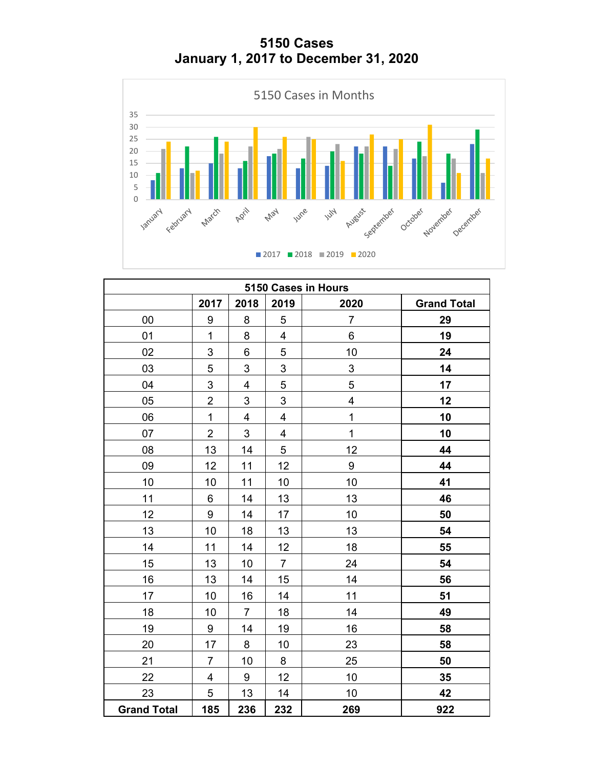**5150 Cases January 1, 2017 to December 31, 2020**



| 5150 Cases in Hours |                         |                         |                         |                         |                    |  |  |
|---------------------|-------------------------|-------------------------|-------------------------|-------------------------|--------------------|--|--|
|                     | 2017                    | 2018                    | 2019                    | 2020                    | <b>Grand Total</b> |  |  |
| 00                  | 9                       | 8                       | 5                       | $\overline{7}$          | 29                 |  |  |
| 01                  | $\mathbf{1}$            | 8                       | 4                       | 6                       | 19                 |  |  |
| 02                  | 3                       | 6                       | 5                       | 10                      | 24                 |  |  |
| 03                  | 5                       | 3                       | 3                       | 3                       | 14                 |  |  |
| 04                  | 3                       | $\overline{\mathbf{4}}$ | 5                       | 5                       | 17                 |  |  |
| 05                  | $\overline{2}$          | $\mathfrak{S}$          | 3                       | $\overline{\mathbf{4}}$ | 12                 |  |  |
| 06                  | $\mathbf 1$             | 4                       | 4                       | $\mathbf{1}$            | 10                 |  |  |
| 07                  | $\overline{2}$          | $\mathfrak{S}$          | $\overline{\mathbf{4}}$ | $\overline{1}$          | 10                 |  |  |
| 08                  | 13                      | 14                      | 5                       | 12                      | 44                 |  |  |
| 09                  | 12                      | 11                      | 12                      | 9                       | 44                 |  |  |
| 10                  | 10                      | 11                      | 10                      | 10                      | 41                 |  |  |
| 11                  | $\,6$                   | 14                      | 13                      | 13                      | 46                 |  |  |
| 12                  | 9                       | 14                      | 17                      | 10                      | 50                 |  |  |
| 13                  | 10                      | 18                      | 13                      | 13                      | 54                 |  |  |
| 14                  | 11                      | 14                      | 12                      | 18                      | 55                 |  |  |
| 15                  | 13                      | 10                      | $\overline{7}$          | 24                      | 54                 |  |  |
| 16                  | 13                      | 14                      | 15                      | 14                      | 56                 |  |  |
| 17                  | 10                      | 16                      | 14                      | 11                      | 51                 |  |  |
| 18                  | 10                      | $\overline{7}$          | 18                      | 14                      | 49                 |  |  |
| 19                  | $\boldsymbol{9}$        | 14                      | 19                      | 16                      | 58                 |  |  |
| 20                  | 17                      | 8                       | 10                      | 23                      | 58                 |  |  |
| 21                  | $\overline{7}$          | 10                      | 8                       | 25                      | 50                 |  |  |
| 22                  | $\overline{\mathbf{4}}$ | 9                       | 12                      | 10                      | 35                 |  |  |
| 23                  | $\sqrt{5}$              | 13                      | 14                      | 10                      | 42                 |  |  |
| <b>Grand Total</b>  | 185                     | 236                     | 232                     | 269                     | 922                |  |  |